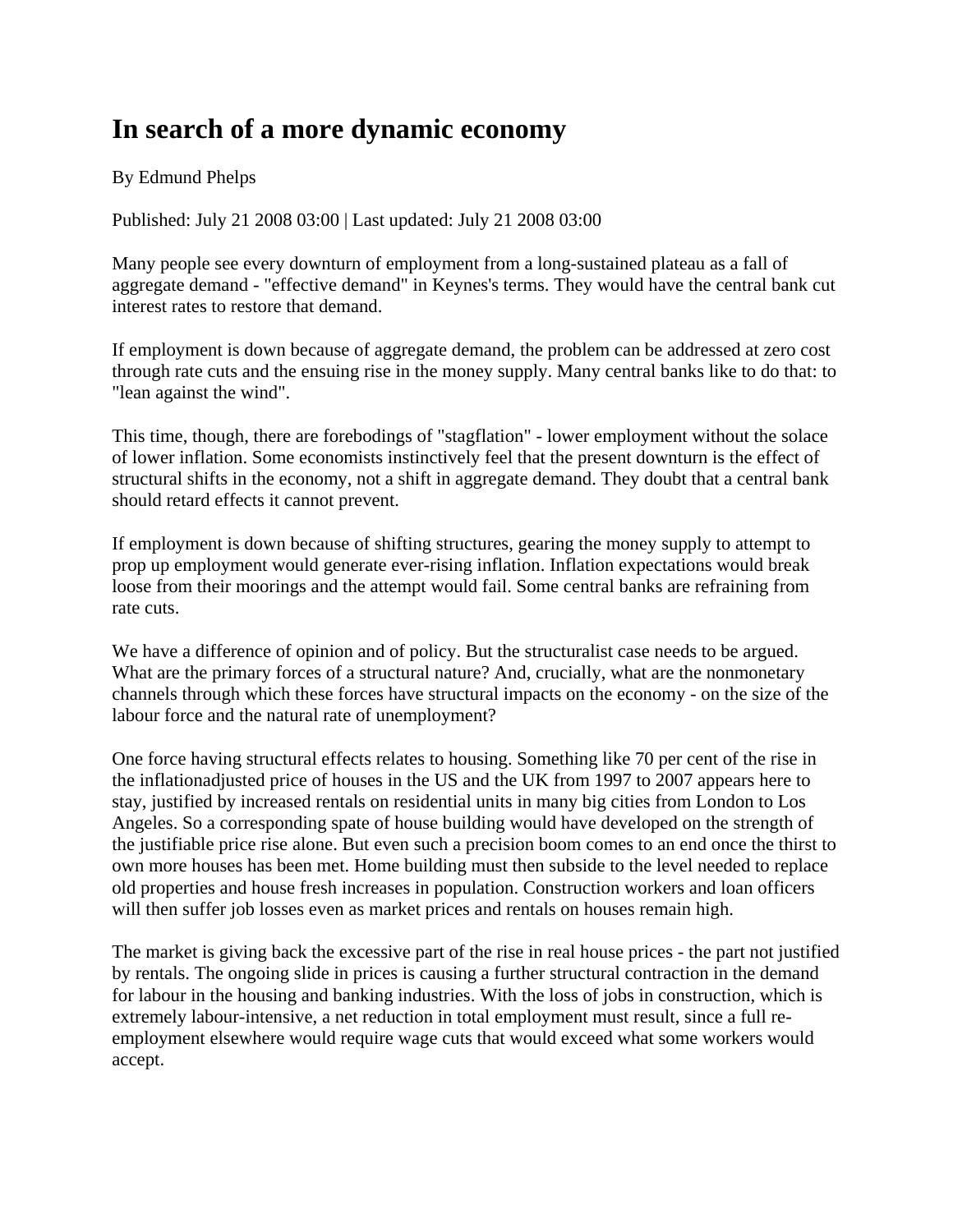## **In search of a more dynamic economy**

By Edmund Phelps

Published: July 21 2008 03:00 | Last updated: July 21 2008 03:00

Many people see every downturn of employment from a long-sustained plateau as a fall of aggregate demand - "effective demand" in Keynes's terms. They would have the central bank cut interest rates to restore that demand.

If employment is down because of aggregate demand, the problem can be addressed at zero cost through rate cuts and the ensuing rise in the money supply. Many central banks like to do that: to "lean against the wind".

This time, though, there are forebodings of "stagflation" - lower employment without the solace of lower inflation. Some economists instinctively feel that the present downturn is the effect of structural shifts in the economy, not a shift in aggregate demand. They doubt that a central bank should retard effects it cannot prevent.

If employment is down because of shifting structures, gearing the money supply to attempt to prop up employment would generate ever-rising inflation. Inflation expectations would break loose from their moorings and the attempt would fail. Some central banks are refraining from rate cuts.

We have a difference of opinion and of policy. But the structuralist case needs to be argued. What are the primary forces of a structural nature? And, crucially, what are the nonmonetary channels through which these forces have structural impacts on the economy - on the size of the labour force and the natural rate of unemployment?

One force having structural effects relates to housing. Something like 70 per cent of the rise in the inflationadjusted price of houses in the US and the UK from 1997 to 2007 appears here to stay, justified by increased rentals on residential units in many big cities from London to Los Angeles. So a corresponding spate of house building would have developed on the strength of the justifiable price rise alone. But even such a precision boom comes to an end once the thirst to own more houses has been met. Home building must then subside to the level needed to replace old properties and house fresh increases in population. Construction workers and loan officers will then suffer job losses even as market prices and rentals on houses remain high.

The market is giving back the excessive part of the rise in real house prices - the part not justified by rentals. The ongoing slide in prices is causing a further structural contraction in the demand for labour in the housing and banking industries. With the loss of jobs in construction, which is extremely labour-intensive, a net reduction in total employment must result, since a full reemployment elsewhere would require wage cuts that would exceed what some workers would accept.